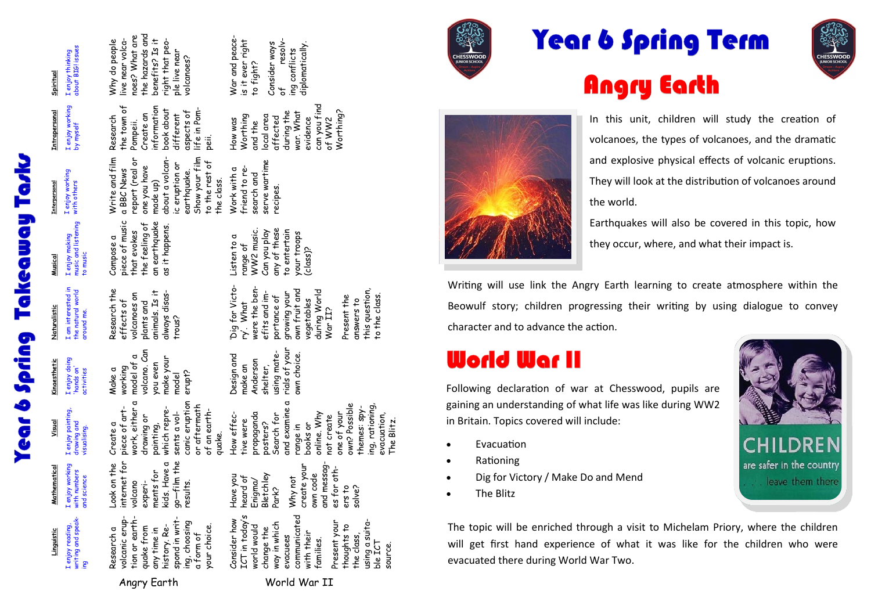Year 6 Spring Takeaway Tasl

| about BIGI issues                                                     | the hazards and<br>noes? What are<br>live near volca-<br>right that peo-<br>Why do people<br>benefits? Is it<br>ple live near                                                     | War and peace-<br>resolv-<br>is it ever right<br>Consider ways<br>diplomatically.<br>ing conflicts                                                                                                                                     |
|-----------------------------------------------------------------------|-----------------------------------------------------------------------------------------------------------------------------------------------------------------------------------|----------------------------------------------------------------------------------------------------------------------------------------------------------------------------------------------------------------------------------------|
| I enjoy thinking<br>Spiritual                                         | volcanoes?                                                                                                                                                                        | to fight?<br>$\frac{1}{\sigma}$                                                                                                                                                                                                        |
| I enjoy working<br><b>Intrapersonal</b><br>by myself                  | information<br>the town of<br>life in Pom-<br>book about<br>aspects of<br>Create an<br>different<br>Research<br>Pompeii.<br>peii.                                                 | can you find<br>Worthing?<br>during the<br>war. What<br>local area<br>Worthing<br>affected<br>evidence<br>of WW2<br>How was<br>and the                                                                                                 |
| I enjoy working<br>with others<br><b>Interpersonal</b>                | Write and film<br>about a volcan-<br>Show your film<br>report (real or<br>to the rest of<br>ic eruption or<br>one you have<br>a BBC News<br>earthquake.<br>the class.<br>made up) | serve wartime<br>friend to re-<br>Work with a<br>search and<br>recipes                                                                                                                                                                 |
| music and listening<br>I enjoy making<br>to music<br>Musical          | piece of music<br>an earthquake<br>the feeling of<br>as it happens.<br>that evokes<br>Compose a                                                                                   | any of these<br>WW2 music.<br>to entertain<br>Can you play<br>your troops<br>Listen to a<br>range of<br>(class)?                                                                                                                       |
| I am interested in<br>the natural world<br>Naturalistic<br>around me. | Research the<br>always disas-<br>animals. Is it<br>volcanoes on<br>effects of<br>plants and<br>trous?                                                                             | Dig for Victo-<br>were the ben-<br>this question,<br>own fruit and<br>during World<br>efits and im-<br>growing your<br>Present the<br>to the class<br>portance of<br>vegetables<br>answers to<br>ry'. What<br>War II?                  |
| I enjoy doing<br>Kinaesthetic<br>'hands on'<br>activities             | volcano. Can<br>model of a<br>make your<br>you even<br>working<br>Make a<br>erupt?<br>model                                                                                       | rials of your<br>using mate-<br>own choice.<br>Design and<br>Anderson<br>make an<br>shelter,                                                                                                                                           |
| I enjoy painting,<br>Visual<br>drawing and<br>visualising.            | work, either a<br>canic eruption<br>or aftermath<br>piece of art-<br>which repre-<br>of an earth-<br>sents a vol-<br>drawing or<br>painting,<br>Create a<br>quake.                | σ<br>own? Possible<br>ing, rationing<br>themes: spy-<br>and examine<br>How effec-<br>one of your<br>propaganda<br>online. Why<br>evacuation,<br>Search for<br>not create<br>tive were<br>The Blitz<br>posters?<br>books or<br>range in |
| I enjoy working<br>with numbers<br>Mathematical<br>and science        | go—film the<br>results.<br>Look on the<br>internet for<br>ments for<br>kids. Have a<br>ok on the<br>experi-<br>volcano                                                            | and messag-<br>create your<br>for oth-<br>own code<br>Have you<br>heard of<br>Enigma/<br>Bletchley<br>Bletchley<br>Why not<br>ers to<br>solve?<br>8                                                                                    |
| writing and speak-<br>I enjoy reading,<br>Linguistic<br>ρη.           | tion or earth-<br>spond in writ-<br>volcanic erup-<br>ing, choosing<br>your choice.<br>history. Re-<br>Research a<br>quake from<br>any time in<br>a form of                       | ICT in today's<br>communicated<br>Consider how<br>using a suita-<br>Present your<br>way in which<br>thoughts to<br>world would<br>change the<br>with their<br>the class,<br>evacuees<br>families.<br>ble ICT<br>source                 |
|                                                                       | Angry Earth                                                                                                                                                                       | World War II                                                                                                                                                                                                                           |



# **Year 6 Spring Term Angry Earth**





In this unit, children will study the creation of volcanoes, the types of volcanoes, and the dramatic and explosive physical effects of volcanic eruptions. They will look at the distribution of volcanoes around the world.

Earthquakes will also be covered in this topic, how they occur, where, and what their impact is.

Writing will use link the Angry Earth learning to create atmosphere within the Beowulf story; children progressing their writing by using dialogue to convey character and to advance the action.

## **World War II**

Following declaration of war at Chesswood, pupils are gaining an understanding of what life was like during WW2 in Britain. Topics covered will include:

- Evacuation
- **Rationing**
- Dig for Victory / Make Do and Mend
- The Blitz



The topic will be enriched through a visit to Michelam Priory, where the children will get first hand experience of what it was like for the children who were evacuated there during World War Two.